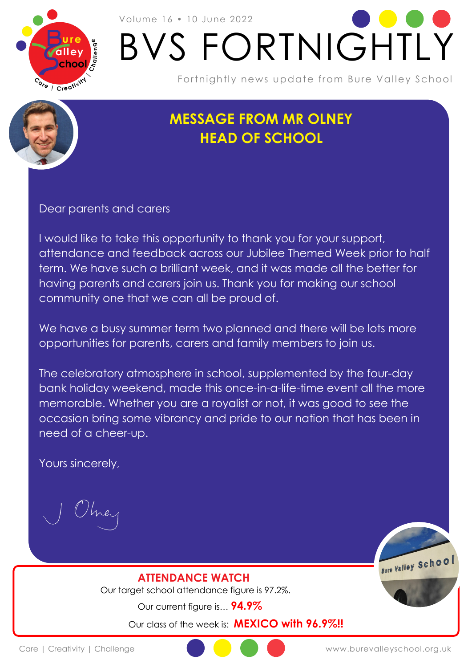

# Volume 16 • 10 June 2022 BVS FORTNIGHTLY

Fortnightly news update from Bure Valley School

## **MESSAGE FROM MR OLNEY HEAD OF SCHOOL**

Dear parents and carers

I would like to take this opportunity to thank you for your support, attendance and feedback across our Jubilee Themed Week prior to half term. We have such a brilliant week, and it was made all the better for having parents and carers join us. Thank you for making our school community one that we can all be proud of.

We have a busy summer term two planned and there will be lots more opportunities for parents, carers and family members to join us.

The celebratory atmosphere in school, supplemented by the four-day bank holiday weekend, made this once-in-a-life-time event all the more memorable. Whether you are a royalist or not, it was good to see the occasion bring some vibrancy and pride to our nation that has been in need of a cheer-up.

Yours sincerely,

Bure Valley Schoo

**ATTENDANCE WATCH** Our target school attendance figure is 97.2%.

Our current figure is… **94.9%**

Our class of the week is: **MEXICO with 96.9%!!**

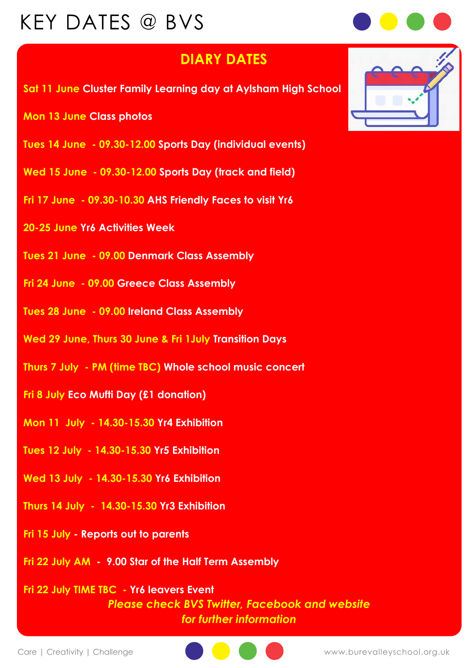# KEY DATES @ BVS



#### **DIARY DATES**

- **Sat 11 June Cluster Family Learning day at Aylsham High School**
- **Mon 13 June Class photos**
- **Tues 14 June - 09.30-12.00 Sports Day (individual events)**
- **Wed 15 June - 09.30-12.00 Sports Day (track and field)**
- **Fri 17 June - 09.30-10.30 AHS Friendly Faces to visit Yr6**
- **20-25 June Yr6 Activities Week**
- **Tues 21 June - 09.00 Denmark Class Assembly**
- **Fri 24 June - 09.00 Greece Class Assembly**
- **Tues 28 June - 09.00 Ireland Class Assembly**
- **Wed 29 June, Thurs 30 June & Fri 1July Transition Days**
- **Thurs 7 July - PM (time TBC) Whole school music concert**
- **Fri 8 July Eco Mufti Day (£1 donation)**
- **Mon 11 July - 14.30-15.30 Yr4 Exhibition**
- **Tues 12 July - 14.30-15.30 Yr5 Exhibition**
- **Wed 13 July - 14.30-15.30 Yr6 Exhibition**
- **Thurs 14 July 14.30-15.30 Yr3 Exhibition**
- **Fri 15 July - Reports out to parents**
- **Fri 22 July AM 9.00 Star of the Half Term Assembly**

**Fri 22 July TIME TBC - Yr6 leavers Event** *Please check BVS Twitter, Facebook and website for further information* 



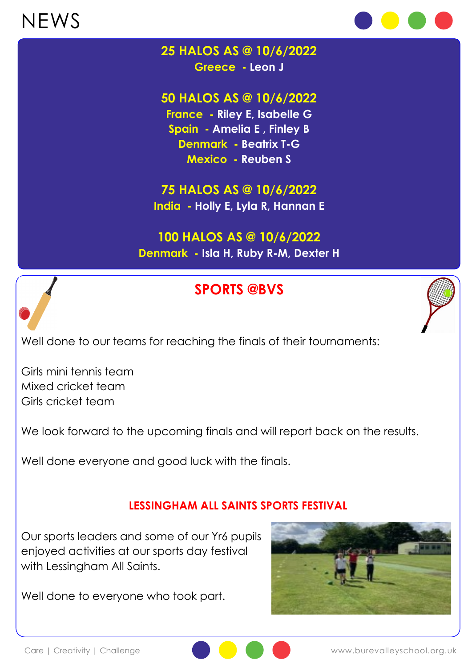# NEWS



## **25 HALOS AS @ 10/6/2022**

**Greece - Leon J**

#### **50 HALOS AS @ 10/6/2022**

**France - Riley E, Isabelle G Spain - Amelia E , Finley B Denmark - Beatrix T-G Mexico - Reuben S**

## **75 HALOS AS @ 10/6/2022**

**India - Holly E, Lyla R, Hannan E**

#### **100 HALOS AS @ 10/6/2022 Denmark - Isla H, Ruby R-M, Dexter H**

### **SPORTS @BVS**



Well done to our teams for reaching the finals of their tournaments:

Girls mini tennis team Mixed cricket team Girls cricket team

We look forward to the upcoming finals and will report back on the results.

Well done everyone and good luck with the finals.

#### **LESSINGHAM ALL SAINTS SPORTS FESTIVAL**

Our sports leaders and some of our Yr6 pupils enjoyed activities at our sports day festival with Lessingham All Saints.